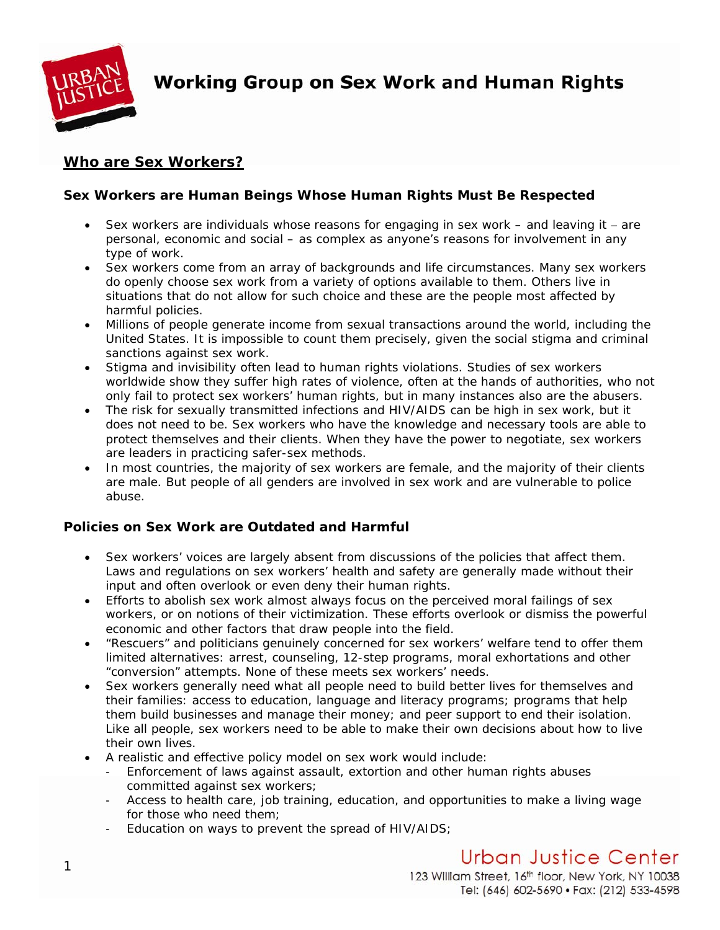

**Working Group on Sex Work and Human Rights** 

## **Who are Sex Workers?**

## *Sex Workers are Human Beings Whose Human Rights Must Be Respected*

- Sex workers are individuals whose reasons for engaging in sex work and leaving it − are personal, economic and social – as complex as anyone's reasons for involvement in any type of work.
- Sex workers come from an array of backgrounds and life circumstances. Many sex workers do openly choose sex work from a variety of options available to them. Others live in situations that do not allow for such choice and these are the people most affected by harmful policies.
- Millions of people generate income from sexual transactions around the world, including the United States. It is impossible to count them precisely, given the social stigma and criminal sanctions against sex work.
- Stigma and invisibility often lead to human rights violations. Studies of sex workers worldwide show they suffer high rates of violence, often at the hands of authorities, who not only fail to protect sex workers' human rights, but in many instances also are the abusers.
- The risk for sexually transmitted infections and HIV/AIDS can be high in sex work, but it does not need to be. Sex workers who have the knowledge and necessary tools are able to protect themselves and their clients. When they have the power to negotiate, sex workers are leaders in practicing safer-sex methods.
- In most countries, the majority of sex workers are female, and the majority of their clients are male. But people of all genders are involved in sex work and are vulnerable to police abuse.

## *Policies on Sex Work are Outdated and Harmful*

- Sex workers' voices are largely absent from discussions of the policies that affect them. Laws and regulations on sex workers' health and safety are generally made without their input and often overlook or even deny their human rights.
- Efforts to abolish sex work almost always focus on the perceived moral failings of sex workers, or on notions of their victimization. These efforts overlook or dismiss the powerful economic and other factors that draw people into the field.
- "Rescuers" and politicians genuinely concerned for sex workers' welfare tend to offer them limited alternatives: arrest, counseling, 12-step programs, moral exhortations and other "conversion" attempts. None of these meets sex workers' needs.
- Sex workers generally need what all people need to build better lives for themselves and their families: access to education, language and literacy programs; programs that help them build businesses and manage their money; and peer support to end their isolation. Like all people, sex workers need to be able to make their own decisions about how to live their own lives.
- A realistic and effective policy model on sex work would include:
	- Enforcement of laws against assault, extortion and other human rights abuses committed against sex workers;
	- Access to health care, job training, education, and opportunities to make a living wage for those who need them;
	- Education on ways to prevent the spread of HIV/AIDS;